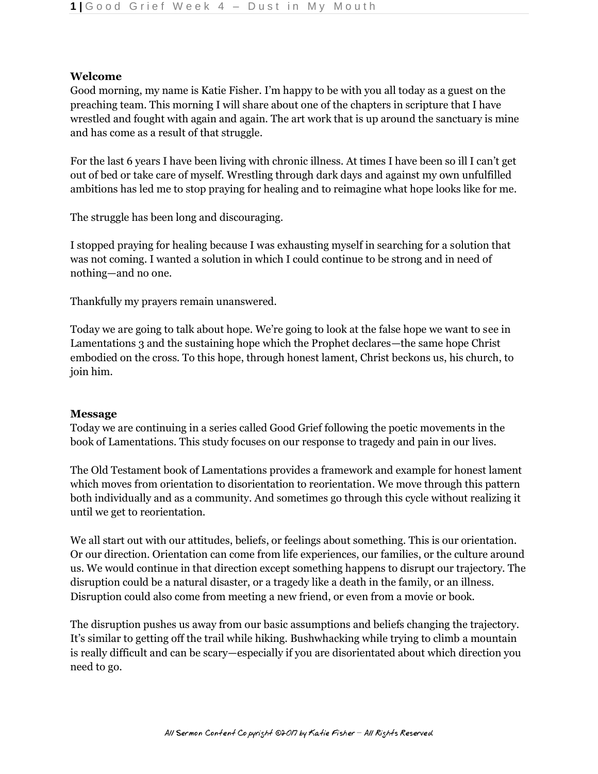## **Welcome**

Good morning, my name is Katie Fisher. I'm happy to be with you all today as a guest on the preaching team. This morning I will share about one of the chapters in scripture that I have wrestled and fought with again and again. The art work that is up around the sanctuary is mine and has come as a result of that struggle.

For the last 6 years I have been living with chronic illness. At times I have been so ill I can't get out of bed or take care of myself. Wrestling through dark days and against my own unfulfilled ambitions has led me to stop praying for healing and to reimagine what hope looks like for me.

The struggle has been long and discouraging.

I stopped praying for healing because I was exhausting myself in searching for a solution that was not coming. I wanted a solution in which I could continue to be strong and in need of nothing—and no one.

Thankfully my prayers remain unanswered.

Today we are going to talk about hope. We're going to look at the false hope we want to see in Lamentations 3 and the sustaining hope which the Prophet declares—the same hope Christ embodied on the cross. To this hope, through honest lament, Christ beckons us, his church, to join him.

## **Message**

Today we are continuing in a series called Good Grief following the poetic movements in the book of Lamentations. This study focuses on our response to tragedy and pain in our lives.

The Old Testament book of Lamentations provides a framework and example for honest lament which moves from orientation to disorientation to reorientation. We move through this pattern both individually and as a community. And sometimes go through this cycle without realizing it until we get to reorientation.

We all start out with our attitudes, beliefs, or feelings about something. This is our orientation. Or our direction. Orientation can come from life experiences, our families, or the culture around us. We would continue in that direction except something happens to disrupt our trajectory. The disruption could be a natural disaster, or a tragedy like a death in the family, or an illness. Disruption could also come from meeting a new friend, or even from a movie or book.

The disruption pushes us away from our basic assumptions and beliefs changing the trajectory. It's similar to getting off the trail while hiking. Bushwhacking while trying to climb a mountain is really difficult and can be scary—especially if you are disorientated about which direction you need to go.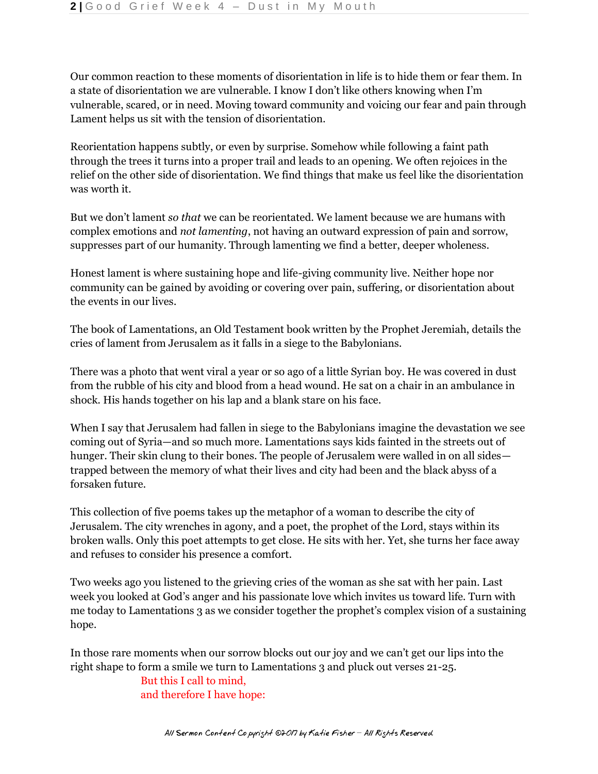Our common reaction to these moments of disorientation in life is to hide them or fear them. In a state of disorientation we are vulnerable. I know I don't like others knowing when I'm vulnerable, scared, or in need. Moving toward community and voicing our fear and pain through Lament helps us sit with the tension of disorientation.

Reorientation happens subtly, or even by surprise. Somehow while following a faint path through the trees it turns into a proper trail and leads to an opening. We often rejoices in the relief on the other side of disorientation. We find things that make us feel like the disorientation was worth it.

But we don't lament *so that* we can be reorientated. We lament because we are humans with complex emotions and *not lamenting*, not having an outward expression of pain and sorrow, suppresses part of our humanity. Through lamenting we find a better, deeper wholeness.

Honest lament is where sustaining hope and life-giving community live. Neither hope nor community can be gained by avoiding or covering over pain, suffering, or disorientation about the events in our lives.

The book of Lamentations, an Old Testament book written by the Prophet Jeremiah, details the cries of lament from Jerusalem as it falls in a siege to the Babylonians.

There was a photo that went viral a year or so ago of a little Syrian boy. He was covered in dust from the rubble of his city and blood from a head wound. He sat on a chair in an ambulance in shock. His hands together on his lap and a blank stare on his face.

When I say that Jerusalem had fallen in siege to the Babylonians imagine the devastation we see coming out of Syria—and so much more. Lamentations says kids fainted in the streets out of hunger. Their skin clung to their bones. The people of Jerusalem were walled in on all sides trapped between the memory of what their lives and city had been and the black abyss of a forsaken future.

This collection of five poems takes up the metaphor of a woman to describe the city of Jerusalem. The city wrenches in agony, and a poet, the prophet of the Lord, stays within its broken walls. Only this poet attempts to get close. He sits with her. Yet, she turns her face away and refuses to consider his presence a comfort.

Two weeks ago you listened to the grieving cries of the woman as she sat with her pain. Last week you looked at God's anger and his passionate love which invites us toward life. Turn with me today to Lamentations 3 as we consider together the prophet's complex vision of a sustaining hope.

In those rare moments when our sorrow blocks out our joy and we can't get our lips into the right shape to form a smile we turn to Lamentations 3 and pluck out verses 21-25.

> But this I call to mind, and therefore I have hope: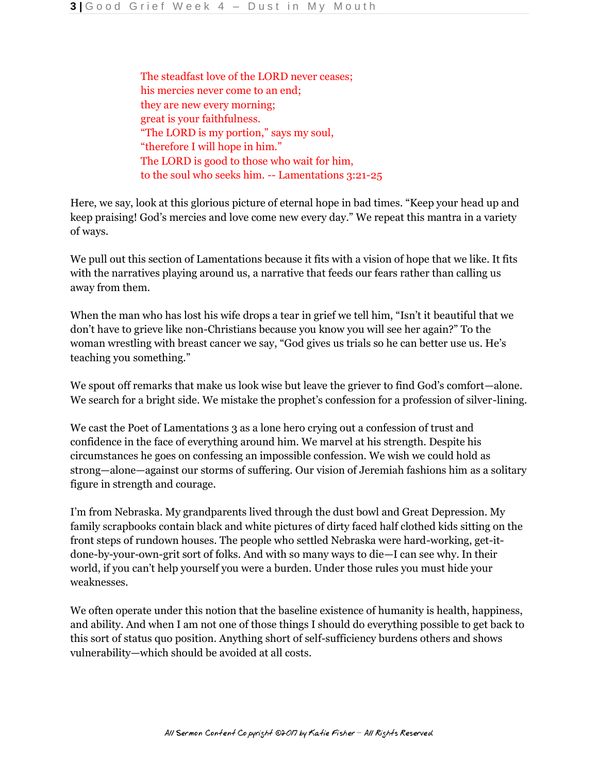The steadfast love of the LORD never ceases; his mercies never come to an end; they are new every morning; great is your faithfulness. "The LORD is my portion," says my soul, "therefore I will hope in him." The LORD is good to those who wait for him, to the soul who seeks him. -- Lamentations 3:21-25

Here, we say, look at this glorious picture of eternal hope in bad times. "Keep your head up and keep praising! God's mercies and love come new every day." We repeat this mantra in a variety of ways.

We pull out this section of Lamentations because it fits with a vision of hope that we like. It fits with the narratives playing around us, a narrative that feeds our fears rather than calling us away from them.

When the man who has lost his wife drops a tear in grief we tell him, "Isn't it beautiful that we don't have to grieve like non-Christians because you know you will see her again?" To the woman wrestling with breast cancer we say, "God gives us trials so he can better use us. He's teaching you something."

We spout off remarks that make us look wise but leave the griever to find God's comfort—alone. We search for a bright side. We mistake the prophet's confession for a profession of silver-lining.

We cast the Poet of Lamentations 3 as a lone hero crying out a confession of trust and confidence in the face of everything around him. We marvel at his strength. Despite his circumstances he goes on confessing an impossible confession. We wish we could hold as strong—alone—against our storms of suffering. Our vision of Jeremiah fashions him as a solitary figure in strength and courage.

I'm from Nebraska. My grandparents lived through the dust bowl and Great Depression. My family scrapbooks contain black and white pictures of dirty faced half clothed kids sitting on the front steps of rundown houses. The people who settled Nebraska were hard-working, get-itdone-by-your-own-grit sort of folks. And with so many ways to die—I can see why. In their world, if you can't help yourself you were a burden. Under those rules you must hide your weaknesses.

We often operate under this notion that the baseline existence of humanity is health, happiness, and ability. And when I am not one of those things I should do everything possible to get back to this sort of status quo position. Anything short of self-sufficiency burdens others and shows vulnerability—which should be avoided at all costs.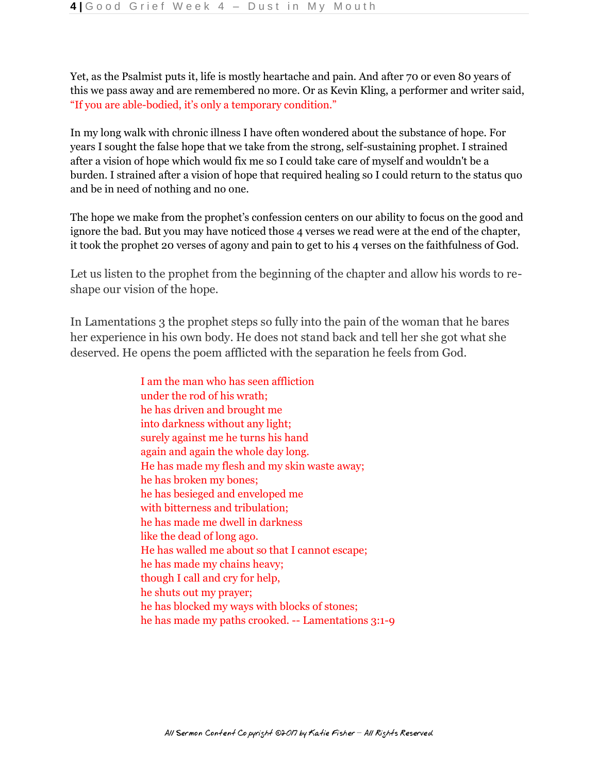Yet, as the Psalmist puts it, life is mostly heartache and pain. And after 70 or even 80 years of this we pass away and are remembered no more. Or as Kevin Kling, a performer and writer said, "If you are able-bodied, it's only a temporary condition."

In my long walk with chronic illness I have often wondered about the substance of hope. For years I sought the false hope that we take from the strong, self-sustaining prophet. I strained after a vision of hope which would fix me so I could take care of myself and wouldn't be a burden. I strained after a vision of hope that required healing so I could return to the status quo and be in need of nothing and no one.

The hope we make from the prophet's confession centers on our ability to focus on the good and ignore the bad. But you may have noticed those 4 verses we read were at the end of the chapter, it took the prophet 20 verses of agony and pain to get to his 4 verses on the faithfulness of God.

Let us listen to the prophet from the beginning of the chapter and allow his words to reshape our vision of the hope.

In Lamentations 3 the prophet steps so fully into the pain of the woman that he bares her experience in his own body. He does not stand back and tell her she got what she deserved. He opens the poem afflicted with the separation he feels from God.

> I am the man who has seen affliction under the rod of his wrath; he has driven and brought me into darkness without any light; surely against me he turns his hand again and again the whole day long. He has made my flesh and my skin waste away; he has broken my bones; he has besieged and enveloped me with bitterness and tribulation; he has made me dwell in darkness like the dead of long ago. He has walled me about so that I cannot escape; he has made my chains heavy; though I call and cry for help, he shuts out my prayer; he has blocked my ways with blocks of stones; he has made my paths crooked. -- Lamentations 3:1-9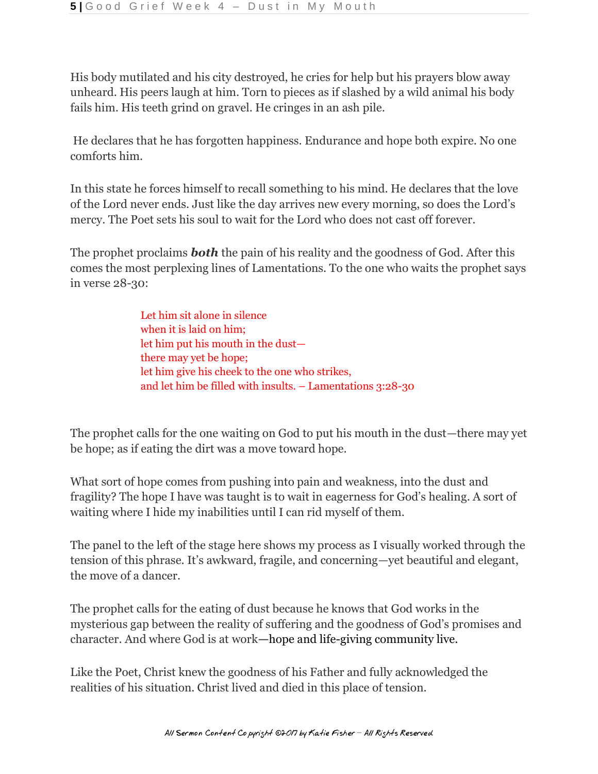His body mutilated and his city destroyed, he cries for help but his prayers blow away unheard. His peers laugh at him. Torn to pieces as if slashed by a wild animal his body fails him. His teeth grind on gravel. He cringes in an ash pile.

He declares that he has forgotten happiness. Endurance and hope both expire. No one comforts him.

In this state he forces himself to recall something to his mind. He declares that the love of the Lord never ends. Just like the day arrives new every morning, so does the Lord's mercy. The Poet sets his soul to wait for the Lord who does not cast off forever.

The prophet proclaims *both* the pain of his reality and the goodness of God. After this comes the most perplexing lines of Lamentations. To the one who waits the prophet says in verse 28-30:

> Let him sit alone in silence when it is laid on him; let him put his mouth in the dust there may yet be hope; let him give his cheek to the one who strikes, and let him be filled with insults. – Lamentations 3:28-30

The prophet calls for the one waiting on God to put his mouth in the dust—there may yet be hope; as if eating the dirt was a move toward hope.

What sort of hope comes from pushing into pain and weakness, into the dust and fragility? The hope I have was taught is to wait in eagerness for God's healing. A sort of waiting where I hide my inabilities until I can rid myself of them.

The panel to the left of the stage here shows my process as I visually worked through the tension of this phrase. It's awkward, fragile, and concerning—yet beautiful and elegant, the move of a dancer.

The prophet calls for the eating of dust because he knows that God works in the mysterious gap between the reality of suffering and the goodness of God's promises and character. And where God is at work**—**hope and life-giving community live.

Like the Poet, Christ knew the goodness of his Father and fully acknowledged the realities of his situation. Christ lived and died in this place of tension.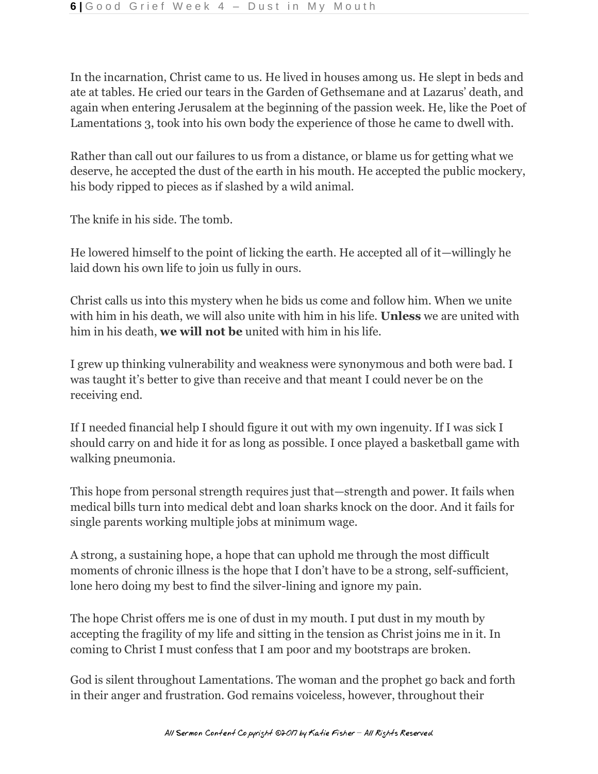In the incarnation, Christ came to us. He lived in houses among us. He slept in beds and ate at tables. He cried our tears in the Garden of Gethsemane and at Lazarus' death, and again when entering Jerusalem at the beginning of the passion week. He, like the Poet of Lamentations 3, took into his own body the experience of those he came to dwell with.

Rather than call out our failures to us from a distance, or blame us for getting what we deserve, he accepted the dust of the earth in his mouth. He accepted the public mockery, his body ripped to pieces as if slashed by a wild animal.

The knife in his side. The tomb.

He lowered himself to the point of licking the earth. He accepted all of it—willingly he laid down his own life to join us fully in ours.

Christ calls us into this mystery when he bids us come and follow him. When we unite with him in his death, we will also unite with him in his life. **Unless** we are united with him in his death, **we will not be** united with him in his life.

I grew up thinking vulnerability and weakness were synonymous and both were bad. I was taught it's better to give than receive and that meant I could never be on the receiving end.

If I needed financial help I should figure it out with my own ingenuity. If I was sick I should carry on and hide it for as long as possible. I once played a basketball game with walking pneumonia.

This hope from personal strength requires just that—strength and power. It fails when medical bills turn into medical debt and loan sharks knock on the door. And it fails for single parents working multiple jobs at minimum wage.

A strong, a sustaining hope, a hope that can uphold me through the most difficult moments of chronic illness is the hope that I don't have to be a strong, self-sufficient, lone hero doing my best to find the silver-lining and ignore my pain.

The hope Christ offers me is one of dust in my mouth. I put dust in my mouth by accepting the fragility of my life and sitting in the tension as Christ joins me in it. In coming to Christ I must confess that I am poor and my bootstraps are broken.

God is silent throughout Lamentations. The woman and the prophet go back and forth in their anger and frustration. God remains voiceless, however, throughout their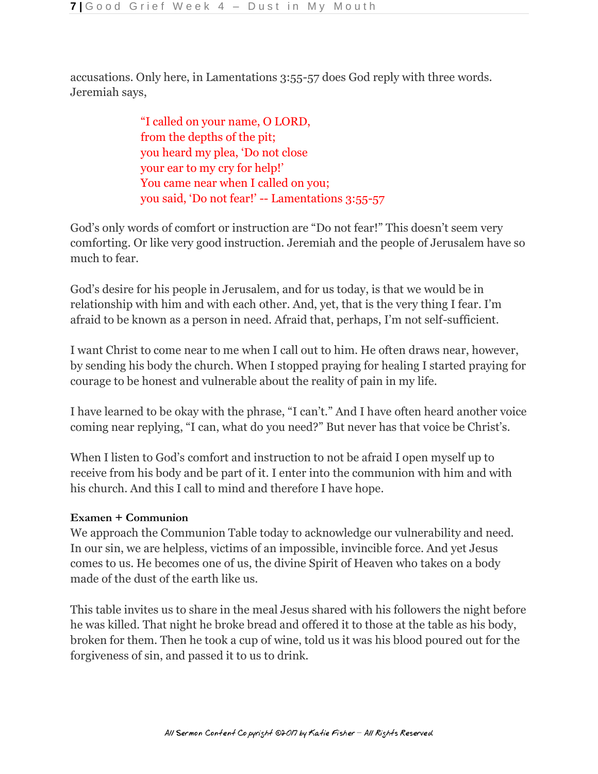accusations. Only here, in Lamentations 3:55-57 does God reply with three words. Jeremiah says,

> "I called on your name, O LORD, from the depths of the pit; you heard my plea, 'Do not close your ear to my cry for help!' You came near when I called on you; you said, 'Do not fear!' -- Lamentations 3:55-57

God's only words of comfort or instruction are "Do not fear!" This doesn't seem very comforting. Or like very good instruction. Jeremiah and the people of Jerusalem have so much to fear.

God's desire for his people in Jerusalem, and for us today, is that we would be in relationship with him and with each other. And, yet, that is the very thing I fear. I'm afraid to be known as a person in need. Afraid that, perhaps, I'm not self-sufficient.

I want Christ to come near to me when I call out to him. He often draws near, however, by sending his body the church. When I stopped praying for healing I started praying for courage to be honest and vulnerable about the reality of pain in my life.

I have learned to be okay with the phrase, "I can't." And I have often heard another voice coming near replying, "I can, what do you need?" But never has that voice be Christ's.

When I listen to God's comfort and instruction to not be afraid I open myself up to receive from his body and be part of it. I enter into the communion with him and with his church. And this I call to mind and therefore I have hope.

## **Examen + Communion**

We approach the Communion Table today to acknowledge our vulnerability and need. In our sin, we are helpless, victims of an impossible, invincible force. And yet Jesus comes to us. He becomes one of us, the divine Spirit of Heaven who takes on a body made of the dust of the earth like us.

This table invites us to share in the meal Jesus shared with his followers the night before he was killed. That night he broke bread and offered it to those at the table as his body, broken for them. Then he took a cup of wine, told us it was his blood poured out for the forgiveness of sin, and passed it to us to drink.